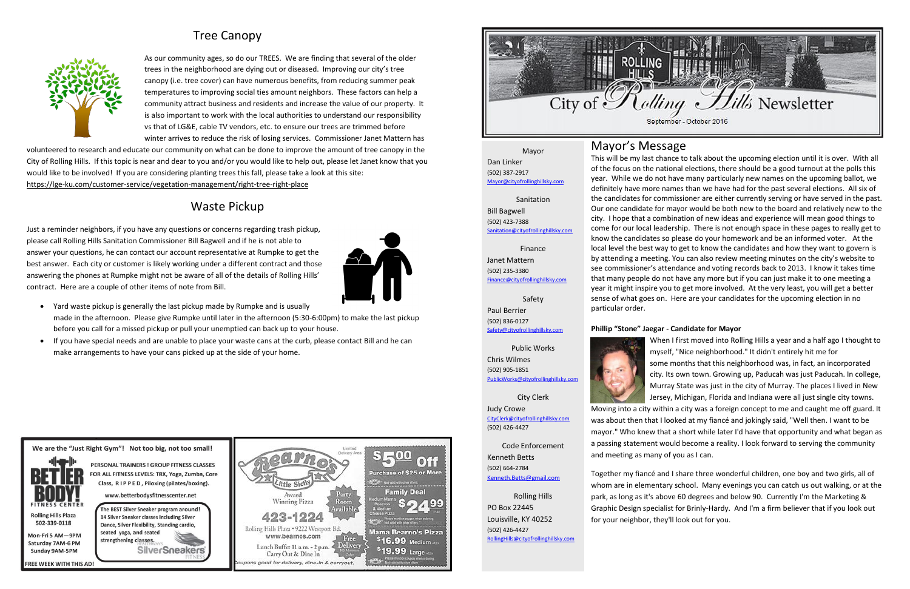# Tree Canopy



As our community ages, so do our TREES. We are finding that several of the older trees in the neighborhood are dying out or diseased. Improving our city's tree canopy (i.e. tree cover) can have numerous benefits, from reducing summer peak temperatures to improving social ties amount neighbors. These factors can help a community attract business and residents and increase the value of our property. It is also important to work with the local authorities to understand our responsibility vs that of LG&E, cable TV vendors, etc. to ensure our trees are trimmed before winter arrives to reduce the risk of losing services. Commissioner Janet Mattern has

volunteered to research and educate our community on what can be done to improve the amount of tree canopy in the City of Rolling Hills. If this topic is near and dear to you and/or you would like to help out, please let Janet know that you would like to be involved! If you are considering planting trees this fall, please take a look at this site: <https://lge-ku.com/customer-service/vegetation-management/right-tree-right-place>

# Waste Pickup

Just a reminder neighbors, if you have any questions or concerns regarding trash pickup, please call Rolling Hills Sanitation Commissioner Bill Bagwell and if he is not able to answer your questions, he can contact our account representative at Rumpke to get the best answer. Each city or customer is likely working under a different contract and those answering the phones at Rumpke might not be aware of all of the details of Rolling Hills' contract. Here are a couple of other items of note from Bill.



- Yard waste pickup is generally the last pickup made by Rumpke and is usually made in the afternoon. Please give Rumpke until later in the afternoon (5:30-6:00pm) to make the last pickup before you call for a missed pickup or pull your unemptied can back up to your house.
- If you have special needs and are unable to place your waste cans at the curb, please contact Bill and he can make arrangements to have your cans picked up at the side of your home.



**REE WEEK WITH THIS AD!** 





# Mayor's Message

This will be my last chance to talk about the upcoming election until it is over. With all of the focus on the national elections, there should be a good turnout at the polls this year. While we do not have many particularly new names on the upcoming ballot, we definitely have more names than we have had for the past several elections. All six of the candidates for commissioner are either currently serving or have served in the past. Our one candidate for mayor would be both new to the board and relatively new to the city. I hope that a combination of new ideas and experience will mean good things to come for our local leadership. There is not enough space in these pages to really get to know the candidates so please do your homework and be an informed voter. At the local level the best way to get to know the candidates and how they want to govern is by attending a meeting. You can also review meeting minutes on the city's website to see commissioner's attendance and voting records back to 2013. I know it takes time that many people do not have any more but if you can just make it to one meeting a year it might inspire you to get more involved. At the very least, you will get a better sense of what goes on. Here are your candidates for the upcoming election in no

particular order. **Phillip "Stone" Jaegar - Candidate for Mayor** When I first moved into Rolling Hills a year and a half ago I thought to myself, "Nice neighborhood." It didn't entirely hit me for some months that this neighborhood was, in fact, an incorporated city. Its own town. Growing up, Paducah was just Paducah. In college, Murray State was just in the city of Murray. The places I lived in New Jersey, Michigan, Florida and Indiana were all just single city towns.

Moving into a city within a city was a foreign concept to me and caught me off guard. It was about then that I looked at my fiancé and jokingly said, "Well then. I want to be mayor." Who knew that a short while later I'd have that opportunity and what began as a passing statement would become a reality. I look forward to serving the community and meeting as many of you as I can.

Together my fiancé and I share three wonderful children, one boy and two girls, all of whom are in elementary school. Many evenings you can catch us out walking, or at the park, as long as it's above 60 degrees and below 90. Currently I'm the Marketing & Graphic Design specialist for Brinly-Hardy. And I'm a firm believer that if you look out for your neighbor, they'll look out for you.

Mayor Dan Linker (502) 387-2917 [Mayor@cityofrollinghillsky.com](mailto:Mayor@cityofrollinghillsky.com)

Sanitation

Bill Bagwell (502) 423-7388 [Sanitation@cityofrollinghillsky.com](mailto:Sanitation@cityofrollinghillsky.com)

Finance Janet Mattern (502) 235-3380 [Finance@cityofrollinghillsky.com](mailto:Finance@cityofrollinghillsky.com)

Safety Paul Berrier (502) 836-0127 [Safety@cityofrollinghillsky.com](mailto:Safety@cityofrollinghillsky.com)

Public Works Chris Wilmes (502) 905-1851 [PublicWorks@cityofrollinghillsky.com](mailto:PublicWorks@cityofrollinghillsky.com)



City Clerk Judy Crowe [CityClerk@cityofrollinghillsky.com](mailto:CityClerk@cityofrollinghillsky.com) (502) 426-4427

Code Enforcement Kenneth Betts (502) 664-2784 [Kenneth.Betts@gmail.com](mailto:kenneth.betts@gmail.com)

Rolling Hills PO Box 22445 Louisville, KY 40252 (502) 426-4427 [RollingHills@cityofrollinghillsky.com](mailto:RollingHills@cityofrollinghillsky.com)